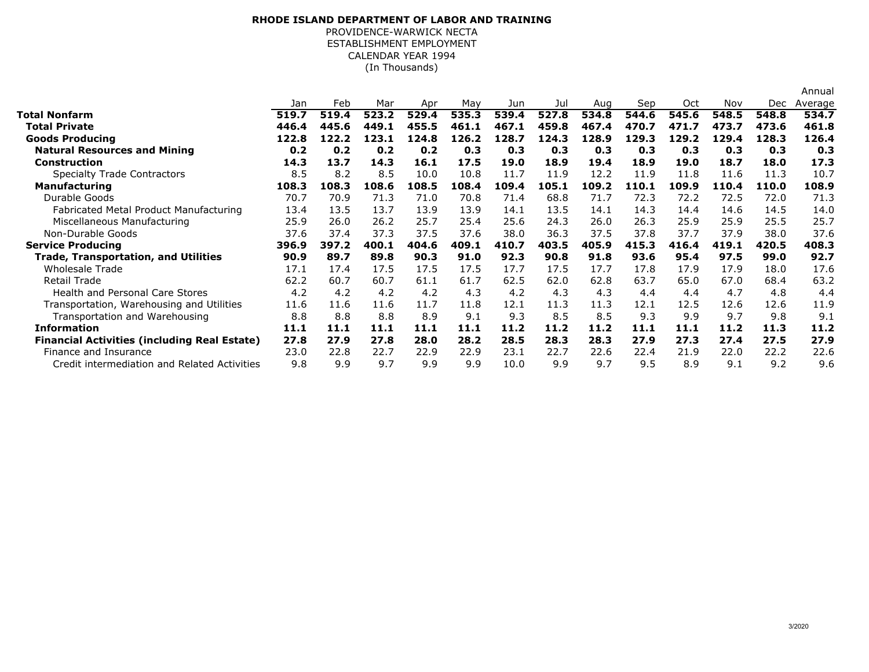## **RHODE ISLAND DEPARTMENT OF LABOR AND TRAINING**

ESTABLISHMENT EMPLOYMENT PROVIDENCE-WARWICK NECTACALENDAR YEAR 1994(In Thousands)

|                                                     |       |       |       |       |       |       |       |       |       |       |       |       | Annual  |
|-----------------------------------------------------|-------|-------|-------|-------|-------|-------|-------|-------|-------|-------|-------|-------|---------|
|                                                     | Jan   | Feb   | Mar   | Apr   | May   | Jun   | Jul   | Aug   | Sep   | Oct   | Nov   | Dec   | Average |
| <b>Total Nonfarm</b>                                | 519.7 | 519.4 | 523.2 | 529.4 | 535.3 | 539.4 | 527.8 | 534.8 | 544.6 | 545.6 | 548.5 | 548.8 | 534.7   |
| <b>Total Private</b>                                | 446.4 | 445.6 | 449.1 | 455.5 | 461.1 | 467.1 | 459.8 | 467.4 | 470.7 | 471.7 | 473.7 | 473.6 | 461.8   |
| <b>Goods Producing</b>                              | 122.8 | 122.2 | 123.1 | 124.8 | 126.2 | 128.7 | 124.3 | 128.9 | 129.3 | 129.2 | 129.4 | 128.3 | 126.4   |
| <b>Natural Resources and Mining</b>                 | 0.2   | 0.2   | 0.2   | 0.2   | 0.3   | 0.3   | 0.3   | 0.3   | 0.3   | 0.3   | 0.3   | 0.3   | 0.3     |
| <b>Construction</b>                                 | 14.3  | 13.7  | 14.3  | 16.1  | 17.5  | 19.0  | 18.9  | 19.4  | 18.9  | 19.0  | 18.7  | 18.0  | 17.3    |
| <b>Specialty Trade Contractors</b>                  | 8.5   | 8.2   | 8.5   | 10.0  | 10.8  | 11.7  | 11.9  | 12.2  | 11.9  | 11.8  | 11.6  | 11.3  | 10.7    |
| <b>Manufacturing</b>                                | 108.3 | 108.3 | 108.6 | 108.5 | 108.4 | 109.4 | 105.1 | 109.2 | 110.1 | 109.9 | 110.4 | 110.0 | 108.9   |
| Durable Goods                                       | 70.7  | 70.9  | 71.3  | 71.0  | 70.8  | 71.4  | 68.8  | 71.7  | 72.3  | 72.2  | 72.5  | 72.0  | 71.3    |
| Fabricated Metal Product Manufacturing              | 13.4  | 13.5  | 13.7  | 13.9  | 13.9  | 14.1  | 13.5  | 14.1  | 14.3  | 14.4  | 14.6  | 14.5  | 14.0    |
| Miscellaneous Manufacturing                         | 25.9  | 26.0  | 26.2  | 25.7  | 25.4  | 25.6  | 24.3  | 26.0  | 26.3  | 25.9  | 25.9  | 25.5  | 25.7    |
| Non-Durable Goods                                   | 37.6  | 37.4  | 37.3  | 37.5  | 37.6  | 38.0  | 36.3  | 37.5  | 37.8  | 37.7  | 37.9  | 38.0  | 37.6    |
| <b>Service Producing</b>                            | 396.9 | 397.2 | 400.1 | 404.6 | 409.1 | 410.7 | 403.5 | 405.9 | 415.3 | 416.4 | 419.1 | 420.5 | 408.3   |
| <b>Trade, Transportation, and Utilities</b>         | 90.9  | 89.7  | 89.8  | 90.3  | 91.0  | 92.3  | 90.8  | 91.8  | 93.6  | 95.4  | 97.5  | 99.0  | 92.7    |
| Wholesale Trade                                     | 17.1  | 17.4  | 17.5  | 17.5  | 17.5  | 17.7  | 17.5  | 17.7  | 17.8  | 17.9  | 17.9  | 18.0  | 17.6    |
| Retail Trade                                        | 62.2  | 60.7  | 60.7  | 61.1  | 61.7  | 62.5  | 62.0  | 62.8  | 63.7  | 65.0  | 67.0  | 68.4  | 63.2    |
| <b>Health and Personal Care Stores</b>              | 4.2   | 4.2   | 4.2   | 4.2   | 4.3   | 4.2   | 4.3   | 4.3   | 4.4   | 4.4   | 4.7   | 4.8   | 4,4     |
| Transportation, Warehousing and Utilities           | 11.6  | 11.6  | 11.6  | 11.7  | 11.8  | 12.1  | 11.3  | 11.3  | 12.1  | 12.5  | 12.6  | 12.6  | 11.9    |
| Transportation and Warehousing                      | 8.8   | 8.8   | 8.8   | 8.9   | 9.1   | 9.3   | 8.5   | 8.5   | 9.3   | 9.9   | 9.7   | 9.8   | 9.1     |
| <b>Information</b>                                  | 11.1  | 11.1  | 11.1  | 11.1  | 11.1  | 11.2  | 11.2  | 11.2  | 11.1  | 11.1  | 11.2  | 11.3  | 11.2    |
| <b>Financial Activities (including Real Estate)</b> | 27.8  | 27.9  | 27.8  | 28.0  | 28.2  | 28.5  | 28.3  | 28.3  | 27.9  | 27.3  | 27.4  | 27.5  | 27.9    |
| Finance and Insurance                               | 23.0  | 22.8  | 22.7  | 22.9  | 22.9  | 23.1  | 22.7  | 22.6  | 22.4  | 21.9  | 22.0  | 22.2  | 22.6    |
| Credit intermediation and Related Activities        | 9.8   | 9.9   | 9.7   | 9.9   | 9.9   | 10.0  | 9.9   | 9.7   | 9.5   | 8.9   | 9.1   | 9.2   | 9.6     |